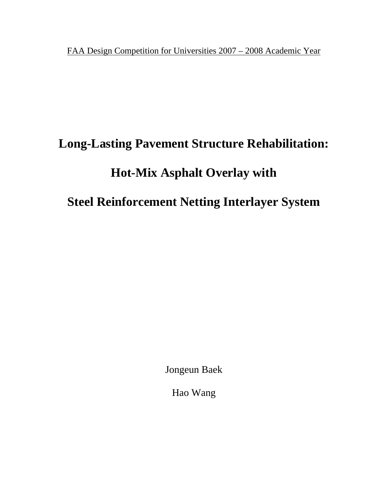FAA Design Competition for Universities 2007 – 2008 Academic Year

# **Long-Lasting Pavement Structure Rehabilitation:**

## **Hot-Mix Asphalt Overlay with**

**Steel Reinforcement Netting Interlayer System** 

Jongeun Baek

Hao Wang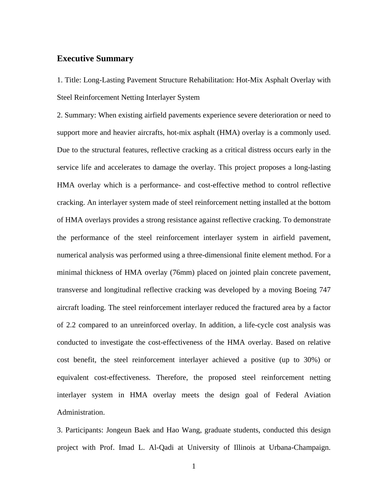## **Executive Summary**

1. Title: Long-Lasting Pavement Structure Rehabilitation: Hot-Mix Asphalt Overlay with Steel Reinforcement Netting Interlayer System

2. Summary: When existing airfield pavements experience severe deterioration or need to support more and heavier aircrafts, hot-mix asphalt (HMA) overlay is a commonly used. Due to the structural features, reflective cracking as a critical distress occurs early in the service life and accelerates to damage the overlay. This project proposes a long-lasting HMA overlay which is a performance- and cost-effective method to control reflective cracking. An interlayer system made of steel reinforcement netting installed at the bottom of HMA overlays provides a strong resistance against reflective cracking. To demonstrate the performance of the steel reinforcement interlayer system in airfield pavement, numerical analysis was performed using a three-dimensional finite element method. For a minimal thickness of HMA overlay (76mm) placed on jointed plain concrete pavement, transverse and longitudinal reflective cracking was developed by a moving Boeing 747 aircraft loading. The steel reinforcement interlayer reduced the fractured area by a factor of 2.2 compared to an unreinforced overlay. In addition, a life-cycle cost analysis was conducted to investigate the cost-effectiveness of the HMA overlay. Based on relative cost benefit, the steel reinforcement interlayer achieved a positive (up to 30%) or equivalent cost-effectiveness. Therefore, the proposed steel reinforcement netting interlayer system in HMA overlay meets the design goal of Federal Aviation Administration.

3. Participants: Jongeun Baek and Hao Wang, graduate students, conducted this design project with Prof. Imad L. Al-Qadi at University of Illinois at Urbana-Champaign.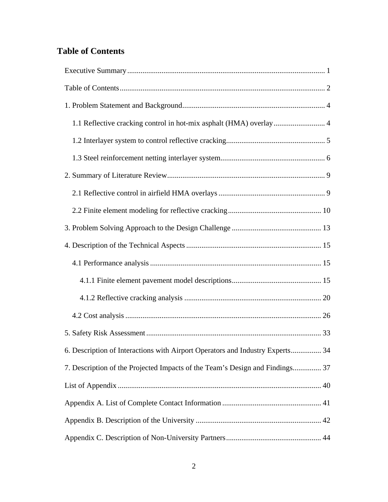## **Table of Contents**

| 1.1 Reflective cracking control in hot-mix asphalt (HMA) overlay 4            |
|-------------------------------------------------------------------------------|
|                                                                               |
|                                                                               |
|                                                                               |
|                                                                               |
|                                                                               |
|                                                                               |
|                                                                               |
|                                                                               |
|                                                                               |
|                                                                               |
|                                                                               |
|                                                                               |
| 6. Description of Interactions with Airport Operators and Industry Experts 34 |
| 7. Description of the Projected Impacts of the Team's Design and Findings 37  |
|                                                                               |
|                                                                               |
|                                                                               |
|                                                                               |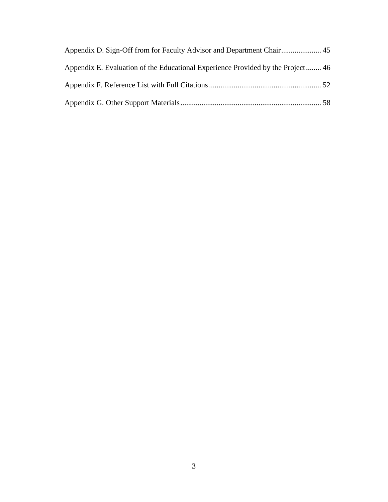| Appendix E. Evaluation of the Educational Experience Provided by the Project 46 |  |
|---------------------------------------------------------------------------------|--|
|                                                                                 |  |
|                                                                                 |  |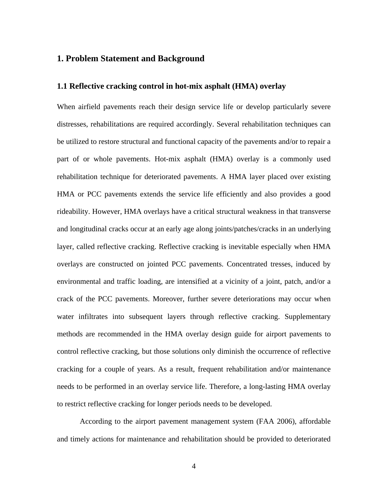## **1. Problem Statement and Background**

### **1.1 Reflective cracking control in hot-mix asphalt (HMA) overlay**

When airfield pavements reach their design service life or develop particularly severe distresses, rehabilitations are required accordingly. Several rehabilitation techniques can be utilized to restore structural and functional capacity of the pavements and/or to repair a part of or whole pavements. Hot-mix asphalt (HMA) overlay is a commonly used rehabilitation technique for deteriorated pavements. A HMA layer placed over existing HMA or PCC pavements extends the service life efficiently and also provides a good rideability. However, HMA overlays have a critical structural weakness in that transverse and longitudinal cracks occur at an early age along joints/patches/cracks in an underlying layer, called reflective cracking. Reflective cracking is inevitable especially when HMA overlays are constructed on jointed PCC pavements. Concentrated tresses, induced by environmental and traffic loading, are intensified at a vicinity of a joint, patch, and/or a crack of the PCC pavements. Moreover, further severe deteriorations may occur when water infiltrates into subsequent layers through reflective cracking. Supplementary methods are recommended in the HMA overlay design guide for airport pavements to control reflective cracking, but those solutions only diminish the occurrence of reflective cracking for a couple of years. As a result, frequent rehabilitation and/or maintenance needs to be performed in an overlay service life. Therefore, a long-lasting HMA overlay to restrict reflective cracking for longer periods needs to be developed.

According to the airport pavement management system (FAA 2006), affordable and timely actions for maintenance and rehabilitation should be provided to deteriorated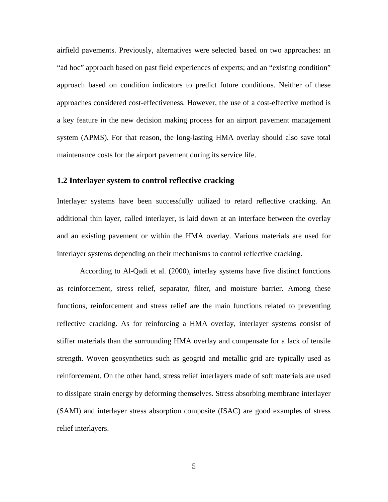airfield pavements. Previously, alternatives were selected based on two approaches: an "ad hoc" approach based on past field experiences of experts; and an "existing condition" approach based on condition indicators to predict future conditions. Neither of these approaches considered cost-effectiveness. However, the use of a cost-effective method is a key feature in the new decision making process for an airport pavement management system (APMS). For that reason, the long-lasting HMA overlay should also save total maintenance costs for the airport pavement during its service life.

#### **1.2 Interlayer system to control reflective cracking**

Interlayer systems have been successfully utilized to retard reflective cracking. An additional thin layer, called interlayer, is laid down at an interface between the overlay and an existing pavement or within the HMA overlay. Various materials are used for interlayer systems depending on their mechanisms to control reflective cracking.

 According to Al-Qadi et al. (2000), interlay systems have five distinct functions as reinforcement, stress relief, separator, filter, and moisture barrier. Among these functions, reinforcement and stress relief are the main functions related to preventing reflective cracking. As for reinforcing a HMA overlay, interlayer systems consist of stiffer materials than the surrounding HMA overlay and compensate for a lack of tensile strength. Woven geosynthetics such as geogrid and metallic grid are typically used as reinforcement. On the other hand, stress relief interlayers made of soft materials are used to dissipate strain energy by deforming themselves. Stress absorbing membrane interlayer (SAMI) and interlayer stress absorption composite (ISAC) are good examples of stress relief interlayers.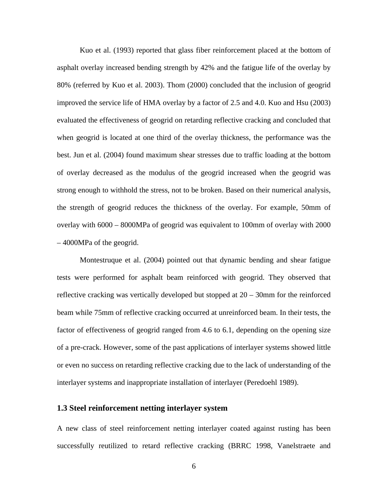Kuo et al. (1993) reported that glass fiber reinforcement placed at the bottom of asphalt overlay increased bending strength by 42% and the fatigue life of the overlay by 80% (referred by Kuo et al. 2003). Thom (2000) concluded that the inclusion of geogrid improved the service life of HMA overlay by a factor of 2.5 and 4.0. Kuo and Hsu (2003) evaluated the effectiveness of geogrid on retarding reflective cracking and concluded that when geogrid is located at one third of the overlay thickness, the performance was the best. Jun et al. (2004) found maximum shear stresses due to traffic loading at the bottom of overlay decreased as the modulus of the geogrid increased when the geogrid was strong enough to withhold the stress, not to be broken. Based on their numerical analysis, the strength of geogrid reduces the thickness of the overlay. For example, 50mm of overlay with 6000 – 8000MPa of geogrid was equivalent to 100mm of overlay with 2000 – 4000MPa of the geogrid.

Montestruque et al. (2004) pointed out that dynamic bending and shear fatigue tests were performed for asphalt beam reinforced with geogrid. They observed that reflective cracking was vertically developed but stopped at 20 – 30mm for the reinforced beam while 75mm of reflective cracking occurred at unreinforced beam. In their tests, the factor of effectiveness of geogrid ranged from 4.6 to 6.1, depending on the opening size of a pre-crack. However, some of the past applications of interlayer systems showed little or even no success on retarding reflective cracking due to the lack of understanding of the interlayer systems and inappropriate installation of interlayer (Peredoehl 1989).

## **1.3 Steel reinforcement netting interlayer system**

A new class of steel reinforcement netting interlayer coated against rusting has been successfully reutilized to retard reflective cracking (BRRC 1998, Vanelstraete and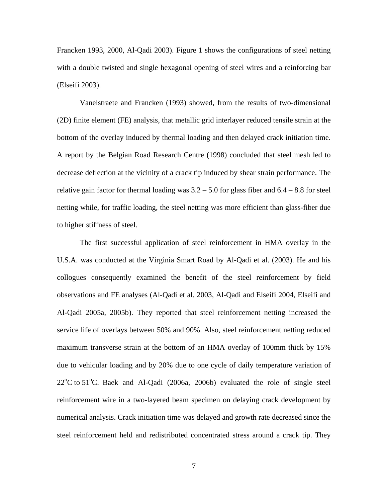Francken 1993, 2000, Al-Qadi 2003). Figure 1 shows the configurations of steel netting with a double twisted and single hexagonal opening of steel wires and a reinforcing bar (Elseifi 2003).

Vanelstraete and Francken (1993) showed, from the results of two-dimensional (2D) finite element (FE) analysis, that metallic grid interlayer reduced tensile strain at the bottom of the overlay induced by thermal loading and then delayed crack initiation time. A report by the Belgian Road Research Centre (1998) concluded that steel mesh led to decrease deflection at the vicinity of a crack tip induced by shear strain performance. The relative gain factor for thermal loading was  $3.2 - 5.0$  for glass fiber and  $6.4 - 8.8$  for steel netting while, for traffic loading, the steel netting was more efficient than glass-fiber due to higher stiffness of steel.

 The first successful application of steel reinforcement in HMA overlay in the U.S.A. was conducted at the Virginia Smart Road by Al-Qadi et al. (2003). He and his collogues consequently examined the benefit of the steel reinforcement by field observations and FE analyses (Al-Qadi et al. 2003, Al-Qadi and Elseifi 2004, Elseifi and Al-Qadi 2005a, 2005b). They reported that steel reinforcement netting increased the service life of overlays between 50% and 90%. Also, steel reinforcement netting reduced maximum transverse strain at the bottom of an HMA overlay of 100mm thick by 15% due to vehicular loading and by 20% due to one cycle of daily temperature variation of  $22^{\circ}$ C to 51 $^{\circ}$ C. Baek and Al-Qadi (2006a, 2006b) evaluated the role of single steel reinforcement wire in a two-layered beam specimen on delaying crack development by numerical analysis. Crack initiation time was delayed and growth rate decreased since the steel reinforcement held and redistributed concentrated stress around a crack tip. They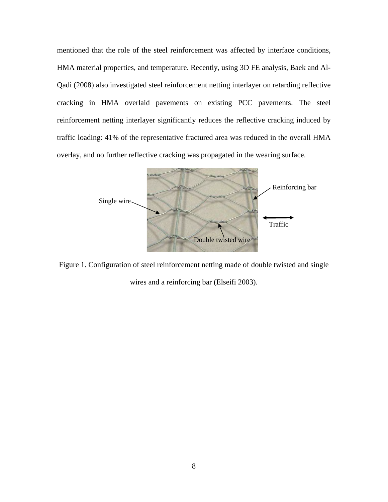mentioned that the role of the steel reinforcement was affected by interface conditions, HMA material properties, and temperature. Recently, using 3D FE analysis, Baek and Al-Qadi (2008) also investigated steel reinforcement netting interlayer on retarding reflective cracking in HMA overlaid pavements on existing PCC pavements. The steel reinforcement netting interlayer significantly reduces the reflective cracking induced by traffic loading: 41% of the representative fractured area was reduced in the overall HMA overlay, and no further reflective cracking was propagated in the wearing surface.



Figure 1. Configuration of steel reinforcement netting made of double twisted and single wires and a reinforcing bar (Elseifi 2003).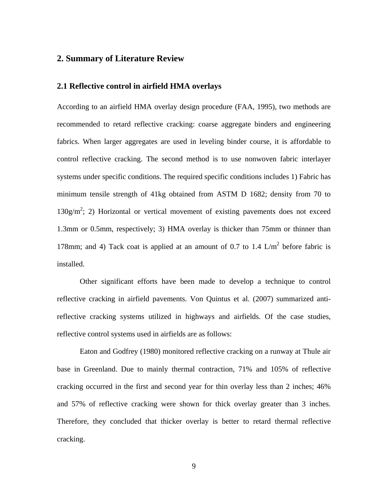## **2. Summary of Literature Review**

#### **2.1 Reflective control in airfield HMA overlays**

According to an airfield HMA overlay design procedure (FAA, 1995), two methods are recommended to retard reflective cracking: coarse aggregate binders and engineering fabrics. When larger aggregates are used in leveling binder course, it is affordable to control reflective cracking. The second method is to use nonwoven fabric interlayer systems under specific conditions. The required specific conditions includes 1) Fabric has minimum tensile strength of 41kg obtained from ASTM D 1682; density from 70 to  $130g/m^2$ ; 2) Horizontal or vertical movement of existing pavements does not exceed 1.3mm or 0.5mm, respectively; 3) HMA overlay is thicker than 75mm or thinner than 178mm; and 4) Tack coat is applied at an amount of 0.7 to 1.4  $\text{L/m}^2$  before fabric is installed.

Other significant efforts have been made to develop a technique to control reflective cracking in airfield pavements. Von Quintus et al. (2007) summarized antireflective cracking systems utilized in highways and airfields. Of the case studies, reflective control systems used in airfields are as follows:

 Eaton and Godfrey (1980) monitored reflective cracking on a runway at Thule air base in Greenland. Due to mainly thermal contraction, 71% and 105% of reflective cracking occurred in the first and second year for thin overlay less than 2 inches; 46% and 57% of reflective cracking were shown for thick overlay greater than 3 inches. Therefore, they concluded that thicker overlay is better to retard thermal reflective cracking.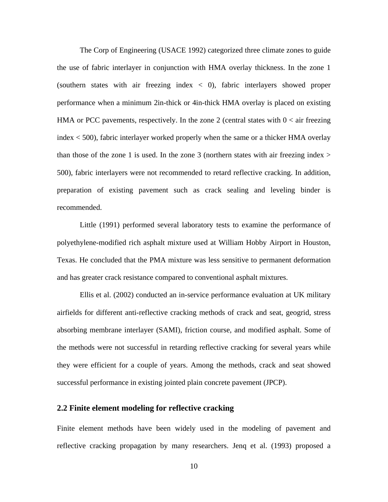The Corp of Engineering (USACE 1992) categorized three climate zones to guide the use of fabric interlayer in conjunction with HMA overlay thickness. In the zone 1 (southern states with air freezing index  $\langle 0 \rangle$ , fabric interlayers showed proper performance when a minimum 2in-thick or 4in-thick HMA overlay is placed on existing HMA or PCC pavements, respectively. In the zone 2 (central states with  $0 < \pi$  freezing index < 500), fabric interlayer worked properly when the same or a thicker HMA overlay than those of the zone 1 is used. In the zone 3 (northern states with air freezing index  $>$ 500), fabric interlayers were not recommended to retard reflective cracking. In addition, preparation of existing pavement such as crack sealing and leveling binder is recommended.

 Little (1991) performed several laboratory tests to examine the performance of polyethylene-modified rich asphalt mixture used at William Hobby Airport in Houston, Texas. He concluded that the PMA mixture was less sensitive to permanent deformation and has greater crack resistance compared to conventional asphalt mixtures.

 Ellis et al. (2002) conducted an in-service performance evaluation at UK military airfields for different anti-reflective cracking methods of crack and seat, geogrid, stress absorbing membrane interlayer (SAMI), friction course, and modified asphalt. Some of the methods were not successful in retarding reflective cracking for several years while they were efficient for a couple of years. Among the methods, crack and seat showed successful performance in existing jointed plain concrete pavement (JPCP).

### **2.2 Finite element modeling for reflective cracking**

Finite element methods have been widely used in the modeling of pavement and reflective cracking propagation by many researchers. Jenq et al. (1993) proposed a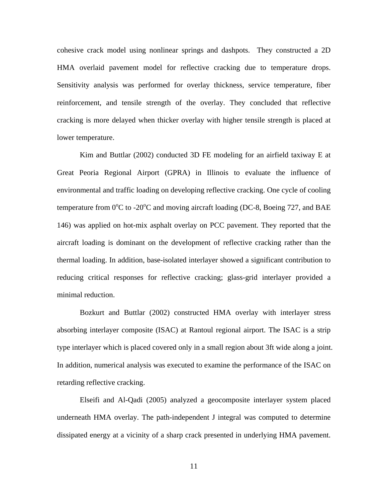cohesive crack model using nonlinear springs and dashpots. They constructed a 2D HMA overlaid pavement model for reflective cracking due to temperature drops. Sensitivity analysis was performed for overlay thickness, service temperature, fiber reinforcement, and tensile strength of the overlay. They concluded that reflective cracking is more delayed when thicker overlay with higher tensile strength is placed at lower temperature.

Kim and Buttlar (2002) conducted 3D FE modeling for an airfield taxiway E at Great Peoria Regional Airport (GPRA) in Illinois to evaluate the influence of environmental and traffic loading on developing reflective cracking. One cycle of cooling temperature from  $0^{\circ}$ C to -20 $^{\circ}$ C and moving aircraft loading (DC-8, Boeing 727, and BAE 146) was applied on hot-mix asphalt overlay on PCC pavement. They reported that the aircraft loading is dominant on the development of reflective cracking rather than the thermal loading. In addition, base-isolated interlayer showed a significant contribution to reducing critical responses for reflective cracking; glass-grid interlayer provided a minimal reduction.

Bozkurt and Buttlar (2002) constructed HMA overlay with interlayer stress absorbing interlayer composite (ISAC) at Rantoul regional airport. The ISAC is a strip type interlayer which is placed covered only in a small region about 3ft wide along a joint. In addition, numerical analysis was executed to examine the performance of the ISAC on retarding reflective cracking.

Elseifi and Al-Qadi (2005) analyzed a geocomposite interlayer system placed underneath HMA overlay. The path-independent J integral was computed to determine dissipated energy at a vicinity of a sharp crack presented in underlying HMA pavement.

11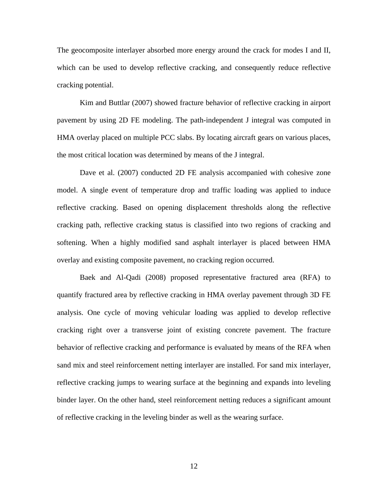The geocomposite interlayer absorbed more energy around the crack for modes I and II, which can be used to develop reflective cracking, and consequently reduce reflective cracking potential.

Kim and Buttlar (2007) showed fracture behavior of reflective cracking in airport pavement by using 2D FE modeling. The path-independent J integral was computed in HMA overlay placed on multiple PCC slabs. By locating aircraft gears on various places, the most critical location was determined by means of the J integral.

Dave et al. (2007) conducted 2D FE analysis accompanied with cohesive zone model. A single event of temperature drop and traffic loading was applied to induce reflective cracking. Based on opening displacement thresholds along the reflective cracking path, reflective cracking status is classified into two regions of cracking and softening. When a highly modified sand asphalt interlayer is placed between HMA overlay and existing composite pavement, no cracking region occurred.

Baek and Al-Qadi (2008) proposed representative fractured area (RFA) to quantify fractured area by reflective cracking in HMA overlay pavement through 3D FE analysis. One cycle of moving vehicular loading was applied to develop reflective cracking right over a transverse joint of existing concrete pavement. The fracture behavior of reflective cracking and performance is evaluated by means of the RFA when sand mix and steel reinforcement netting interlayer are installed. For sand mix interlayer, reflective cracking jumps to wearing surface at the beginning and expands into leveling binder layer. On the other hand, steel reinforcement netting reduces a significant amount of reflective cracking in the leveling binder as well as the wearing surface.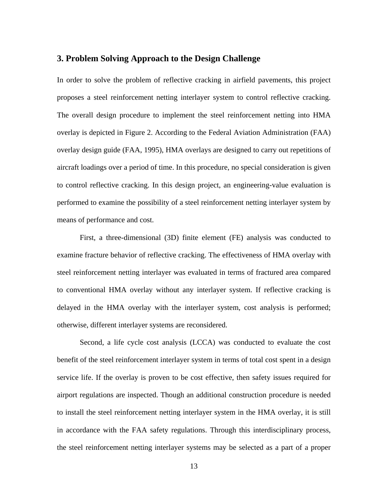## **3. Problem Solving Approach to the Design Challenge**

In order to solve the problem of reflective cracking in airfield pavements, this project proposes a steel reinforcement netting interlayer system to control reflective cracking. The overall design procedure to implement the steel reinforcement netting into HMA overlay is depicted in Figure 2. According to the Federal Aviation Administration (FAA) overlay design guide (FAA, 1995), HMA overlays are designed to carry out repetitions of aircraft loadings over a period of time. In this procedure, no special consideration is given to control reflective cracking. In this design project, an engineering-value evaluation is performed to examine the possibility of a steel reinforcement netting interlayer system by means of performance and cost.

 First, a three-dimensional (3D) finite element (FE) analysis was conducted to examine fracture behavior of reflective cracking. The effectiveness of HMA overlay with steel reinforcement netting interlayer was evaluated in terms of fractured area compared to conventional HMA overlay without any interlayer system. If reflective cracking is delayed in the HMA overlay with the interlayer system, cost analysis is performed; otherwise, different interlayer systems are reconsidered.

 Second, a life cycle cost analysis (LCCA) was conducted to evaluate the cost benefit of the steel reinforcement interlayer system in terms of total cost spent in a design service life. If the overlay is proven to be cost effective, then safety issues required for airport regulations are inspected. Though an additional construction procedure is needed to install the steel reinforcement netting interlayer system in the HMA overlay, it is still in accordance with the FAA safety regulations. Through this interdisciplinary process, the steel reinforcement netting interlayer systems may be selected as a part of a proper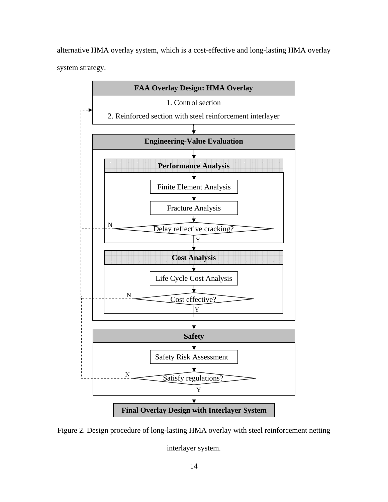alternative HMA overlay system, which is a cost-effective and long-lasting HMA overlay system strategy.



Figure 2. Design procedure of long-lasting HMA overlay with steel reinforcement netting

interlayer system.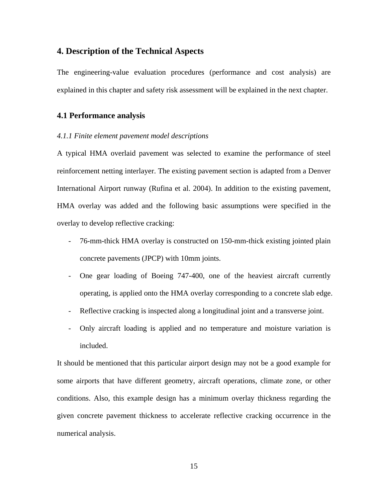## **4. Description of the Technical Aspects**

The engineering-value evaluation procedures (performance and cost analysis) are explained in this chapter and safety risk assessment will be explained in the next chapter.

## **4.1 Performance analysis**

#### *4.1.1 Finite element pavement model descriptions*

A typical HMA overlaid pavement was selected to examine the performance of steel reinforcement netting interlayer. The existing pavement section is adapted from a Denver International Airport runway (Rufina et al. 2004). In addition to the existing pavement, HMA overlay was added and the following basic assumptions were specified in the overlay to develop reflective cracking:

- 76-mm-thick HMA overlay is constructed on 150-mm-thick existing jointed plain concrete pavements (JPCP) with 10mm joints.
- One gear loading of Boeing 747-400, one of the heaviest aircraft currently operating, is applied onto the HMA overlay corresponding to a concrete slab edge.
- Reflective cracking is inspected along a longitudinal joint and a transverse joint.
- Only aircraft loading is applied and no temperature and moisture variation is included.

It should be mentioned that this particular airport design may not be a good example for some airports that have different geometry, aircraft operations, climate zone, or other conditions. Also, this example design has a minimum overlay thickness regarding the given concrete pavement thickness to accelerate reflective cracking occurrence in the numerical analysis.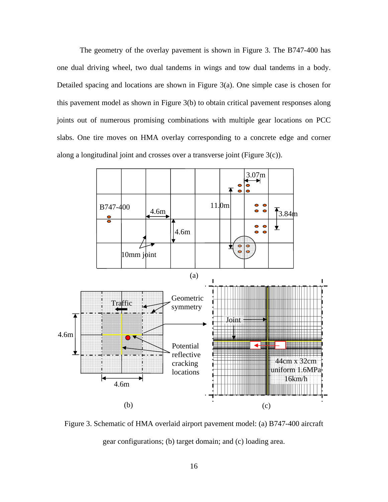The geometry of the overlay pavement is shown in Figure 3. The B747-400 has one dual driving wheel, two dual tandems in wings and tow dual tandems in a body. Detailed spacing and locations are shown in Figure 3(a). One simple case is chosen for this pavement model as shown in Figure 3(b) to obtain critical pavement responses along joints out of numerous promising combinations with multiple gear locations on PCC slabs. One tire moves on HMA overlay corresponding to a concrete edge and corner along a longitudinal joint and crosses over a transverse joint (Figure 3(c)).



Figure 3. Schematic of HMA overlaid airport pavement model: (a) B747-400 aircraft gear configurations; (b) target domain; and (c) loading area.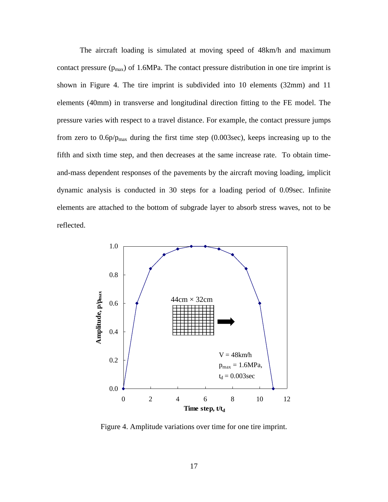The aircraft loading is simulated at moving speed of 48km/h and maximum contact pressure  $(p_{max})$  of 1.6MPa. The contact pressure distribution in one tire imprint is shown in Figure 4. The tire imprint is subdivided into 10 elements (32mm) and 11 elements (40mm) in transverse and longitudinal direction fitting to the FE model. The pressure varies with respect to a travel distance. For example, the contact pressure jumps from zero to  $0.6p/p_{max}$  during the first time step (0.003sec), keeps increasing up to the fifth and sixth time step, and then decreases at the same increase rate. To obtain timeand-mass dependent responses of the pavements by the aircraft moving loading, implicit dynamic analysis is conducted in 30 steps for a loading period of 0.09sec. Infinite elements are attached to the bottom of subgrade layer to absorb stress waves, not to be reflected.



Figure 4. Amplitude variations over time for one tire imprint.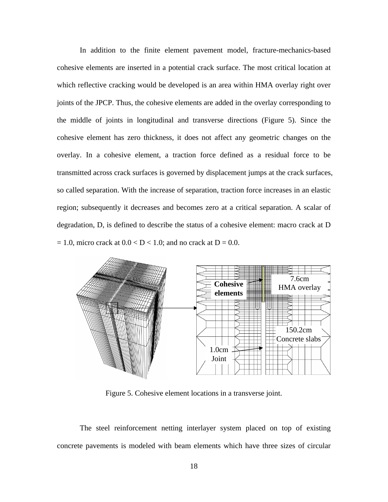In addition to the finite element pavement model, fracture-mechanics-based cohesive elements are inserted in a potential crack surface. The most critical location at which reflective cracking would be developed is an area within HMA overlay right over joints of the JPCP. Thus, the cohesive elements are added in the overlay corresponding to the middle of joints in longitudinal and transverse directions (Figure 5). Since the cohesive element has zero thickness, it does not affect any geometric changes on the overlay. In a cohesive element, a traction force defined as a residual force to be transmitted across crack surfaces is governed by displacement jumps at the crack surfaces, so called separation. With the increase of separation, traction force increases in an elastic region; subsequently it decreases and becomes zero at a critical separation. A scalar of degradation, D, is defined to describe the status of a cohesive element: macro crack at D  $= 1.0$ , micro crack at  $0.0 < D < 1.0$ ; and no crack at  $D = 0.0$ .



Figure 5. Cohesive element locations in a transverse joint.

The steel reinforcement netting interlayer system placed on top of existing concrete pavements is modeled with beam elements which have three sizes of circular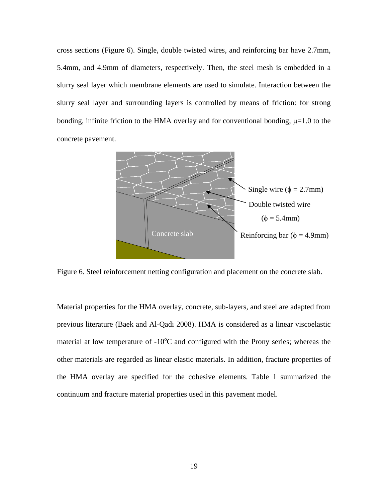cross sections (Figure 6). Single, double twisted wires, and reinforcing bar have 2.7mm, 5.4mm, and 4.9mm of diameters, respectively. Then, the steel mesh is embedded in a slurry seal layer which membrane elements are used to simulate. Interaction between the slurry seal layer and surrounding layers is controlled by means of friction: for strong bonding, infinite friction to the HMA overlay and for conventional bonding,  $\mu$ =1.0 to the concrete pavement.



Figure 6. Steel reinforcement netting configuration and placement on the concrete slab.

Material properties for the HMA overlay, concrete, sub-layers, and steel are adapted from previous literature (Baek and Al-Qadi 2008). HMA is considered as a linear viscoelastic material at low temperature of  $-10^{\circ}$ C and configured with the Prony series; whereas the other materials are regarded as linear elastic materials. In addition, fracture properties of the HMA overlay are specified for the cohesive elements. Table 1 summarized the continuum and fracture material properties used in this pavement model.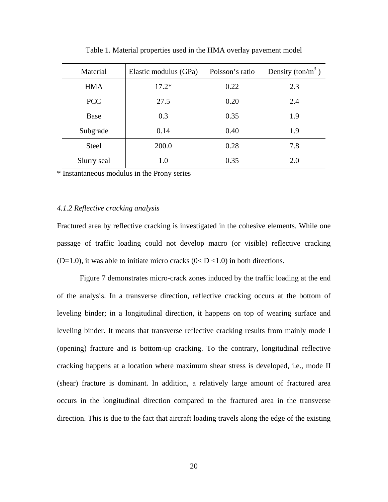| Material     | Elastic modulus (GPa) | Poisson's ratio | Density (ton/ $m^3$ ) |
|--------------|-----------------------|-----------------|-----------------------|
| <b>HMA</b>   | $17.2*$               | 0.22            | 2.3                   |
| <b>PCC</b>   | 27.5                  | 0.20            | 2.4                   |
| <b>Base</b>  | 0.3                   | 0.35            | 1.9                   |
| Subgrade     | 0.14                  | 0.40            | 1.9                   |
| <b>Steel</b> | 200.0                 | 0.28            | 7.8                   |
| Slurry seal  | 1.0                   | 0.35            | 2.0                   |

Table 1. Material properties used in the HMA overlay pavement model

\* Instantaneous modulus in the Prony series

#### *4.1.2 Reflective cracking analysis*

Fractured area by reflective cracking is investigated in the cohesive elements. While one passage of traffic loading could not develop macro (or visible) reflective cracking (D=1.0), it was able to initiate micro cracks ( $0 < D < 1.0$ ) in both directions.

 Figure 7 demonstrates micro-crack zones induced by the traffic loading at the end of the analysis. In a transverse direction, reflective cracking occurs at the bottom of leveling binder; in a longitudinal direction, it happens on top of wearing surface and leveling binder. It means that transverse reflective cracking results from mainly mode I (opening) fracture and is bottom-up cracking. To the contrary, longitudinal reflective cracking happens at a location where maximum shear stress is developed, i.e., mode II (shear) fracture is dominant. In addition, a relatively large amount of fractured area occurs in the longitudinal direction compared to the fractured area in the transverse direction. This is due to the fact that aircraft loading travels along the edge of the existing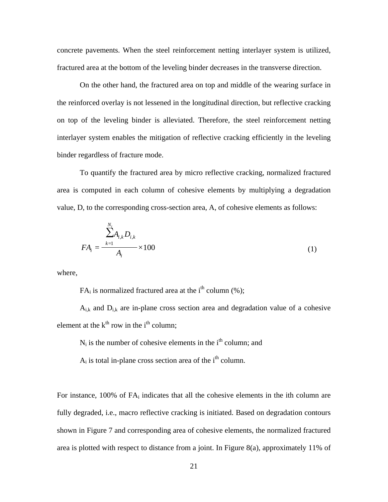concrete pavements. When the steel reinforcement netting interlayer system is utilized, fractured area at the bottom of the leveling binder decreases in the transverse direction.

 On the other hand, the fractured area on top and middle of the wearing surface in the reinforced overlay is not lessened in the longitudinal direction, but reflective cracking on top of the leveling binder is alleviated. Therefore, the steel reinforcement netting interlayer system enables the mitigation of reflective cracking efficiently in the leveling binder regardless of fracture mode.

 To quantify the fractured area by micro reflective cracking, normalized fractured area is computed in each column of cohesive elements by multiplying a degradation value, D, to the corresponding cross-section area, A, of cohesive elements as follows:

$$
FA_i = \frac{\sum_{k=1}^{N_i} A_{i,k} D_{i,k}}{A_i} \times 100
$$
 (1)

where,

 $FA_i$  is normalized fractured area at the i<sup>th</sup> column (%);

 $A_{ik}$  and  $D_{ik}$  are in-plane cross section area and degradation value of a cohesive element at the  $k<sup>th</sup>$  row in the i<sup>th</sup> column;

 $N_i$  is the number of cohesive elements in the  $i<sup>th</sup>$  column; and

 $A_i$  is total in-plane cross section area of the i<sup>th</sup> column.

For instance,  $100\%$  of  $FA_i$  indicates that all the cohesive elements in the ith column are fully degraded, i.e., macro reflective cracking is initiated. Based on degradation contours shown in Figure 7 and corresponding area of cohesive elements, the normalized fractured area is plotted with respect to distance from a joint. In Figure 8(a), approximately 11% of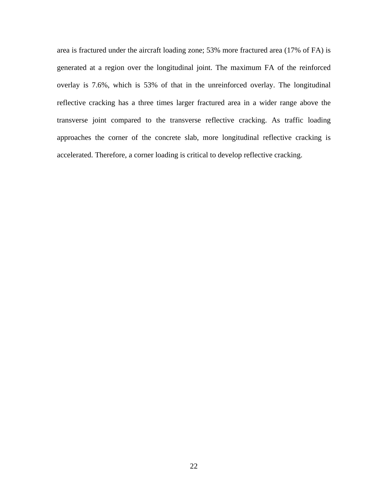area is fractured under the aircraft loading zone; 53% more fractured area (17% of FA) is generated at a region over the longitudinal joint. The maximum FA of the reinforced overlay is 7.6%, which is 53% of that in the unreinforced overlay. The longitudinal reflective cracking has a three times larger fractured area in a wider range above the transverse joint compared to the transverse reflective cracking. As traffic loading approaches the corner of the concrete slab, more longitudinal reflective cracking is accelerated. Therefore, a corner loading is critical to develop reflective cracking.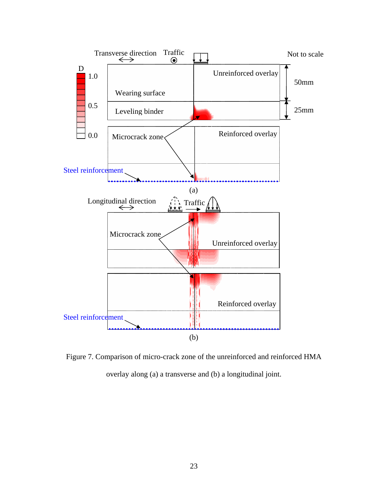

Figure 7. Comparison of micro-crack zone of the unreinforced and reinforced HMA overlay along (a) a transverse and (b) a longitudinal joint.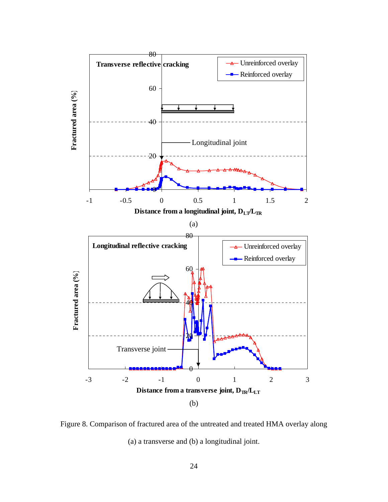

Figure 8. Comparison of fractured area of the untreated and treated HMA overlay along (a) a transverse and (b) a longitudinal joint.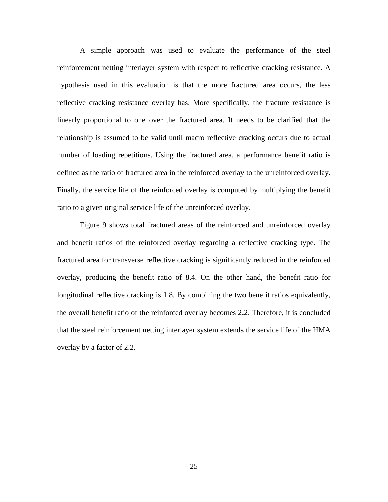A simple approach was used to evaluate the performance of the steel reinforcement netting interlayer system with respect to reflective cracking resistance. A hypothesis used in this evaluation is that the more fractured area occurs, the less reflective cracking resistance overlay has. More specifically, the fracture resistance is linearly proportional to one over the fractured area. It needs to be clarified that the relationship is assumed to be valid until macro reflective cracking occurs due to actual number of loading repetitions. Using the fractured area, a performance benefit ratio is defined as the ratio of fractured area in the reinforced overlay to the unreinforced overlay. Finally, the service life of the reinforced overlay is computed by multiplying the benefit ratio to a given original service life of the unreinforced overlay.

 Figure 9 shows total fractured areas of the reinforced and unreinforced overlay and benefit ratios of the reinforced overlay regarding a reflective cracking type. The fractured area for transverse reflective cracking is significantly reduced in the reinforced overlay, producing the benefit ratio of 8.4. On the other hand, the benefit ratio for longitudinal reflective cracking is 1.8. By combining the two benefit ratios equivalently, the overall benefit ratio of the reinforced overlay becomes 2.2. Therefore, it is concluded that the steel reinforcement netting interlayer system extends the service life of the HMA overlay by a factor of 2.2.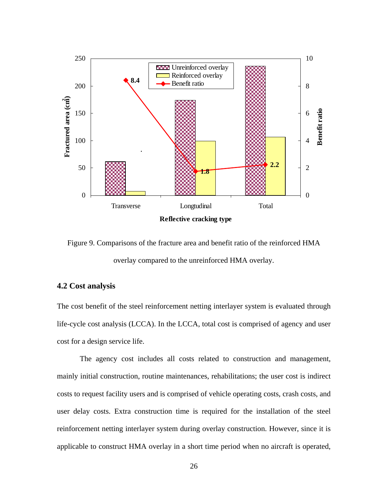

Figure 9. Comparisons of the fracture area and benefit ratio of the reinforced HMA overlay compared to the unreinforced HMA overlay.

## **4.2 Cost analysis**

The cost benefit of the steel reinforcement netting interlayer system is evaluated through life-cycle cost analysis (LCCA). In the LCCA, total cost is comprised of agency and user cost for a design service life.

 The agency cost includes all costs related to construction and management, mainly initial construction, routine maintenances, rehabilitations; the user cost is indirect costs to request facility users and is comprised of vehicle operating costs, crash costs, and user delay costs. Extra construction time is required for the installation of the steel reinforcement netting interlayer system during overlay construction. However, since it is applicable to construct HMA overlay in a short time period when no aircraft is operated,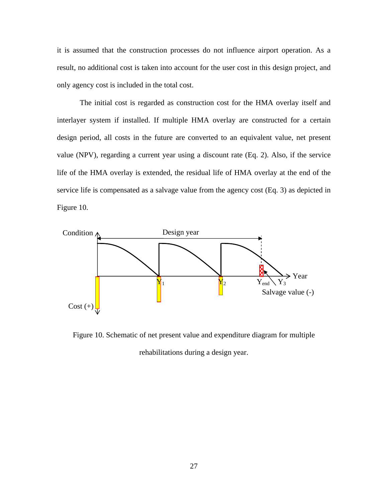it is assumed that the construction processes do not influence airport operation. As a result, no additional cost is taken into account for the user cost in this design project, and only agency cost is included in the total cost.

 The initial cost is regarded as construction cost for the HMA overlay itself and interlayer system if installed. If multiple HMA overlay are constructed for a certain design period, all costs in the future are converted to an equivalent value, net present value (NPV), regarding a current year using a discount rate (Eq. 2). Also, if the service life of the HMA overlay is extended, the residual life of HMA overlay at the end of the service life is compensated as a salvage value from the agency cost (Eq. 3) as depicted in Figure 10.



Figure 10. Schematic of net present value and expenditure diagram for multiple rehabilitations during a design year.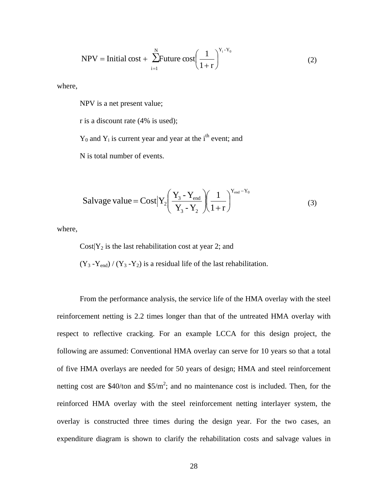$$
NPV = Initial cost + \sum_{i=1}^{N} Future cost \left(\frac{1}{1+r}\right)^{Y_i - Y_0}
$$
 (2)

where,

NPV is a net present value;

r is a discount rate (4% is used);

 $Y_0$  and  $Y_i$  is current year and year at the i<sup>th</sup> event; and

N is total number of events.

Saluage value = Cost 
$$
\left| Y_2 \left( \frac{Y_3 - Y_{end}}{Y_3 - Y_2} \right) \left( \frac{1}{1+r} \right)^{Y_{end} - Y_0}
$$
 (3)

where,

Cost $|Y_2|$  is the last rehabilitation cost at year 2; and

 $(Y_3 - Y_{end}) / (Y_3 - Y_2)$  is a residual life of the last rehabilitation.

 From the performance analysis, the service life of the HMA overlay with the steel reinforcement netting is 2.2 times longer than that of the untreated HMA overlay with respect to reflective cracking. For an example LCCA for this design project, the following are assumed: Conventional HMA overlay can serve for 10 years so that a total of five HMA overlays are needed for 50 years of design; HMA and steel reinforcement netting cost are \$40/ton and  $$5/m^2$ ; and no maintenance cost is included. Then, for the reinforced HMA overlay with the steel reinforcement netting interlayer system, the overlay is constructed three times during the design year. For the two cases, an expenditure diagram is shown to clarify the rehabilitation costs and salvage values in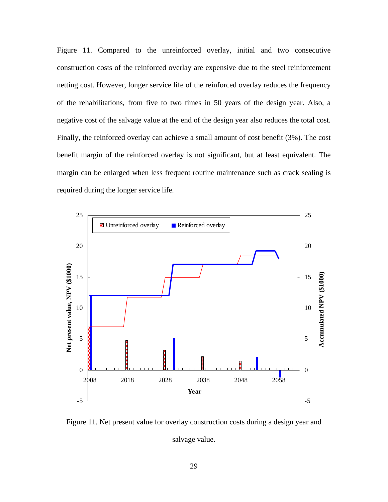Figure 11. Compared to the unreinforced overlay, initial and two consecutive construction costs of the reinforced overlay are expensive due to the steel reinforcement netting cost. However, longer service life of the reinforced overlay reduces the frequency of the rehabilitations, from five to two times in 50 years of the design year. Also, a negative cost of the salvage value at the end of the design year also reduces the total cost. Finally, the reinforced overlay can achieve a small amount of cost benefit (3%). The cost benefit margin of the reinforced overlay is not significant, but at least equivalent. The margin can be enlarged when less frequent routine maintenance such as crack sealing is required during the longer service life.



Figure 11. Net present value for overlay construction costs during a design year and salvage value.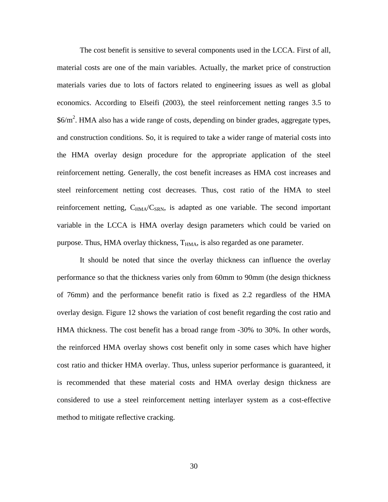The cost benefit is sensitive to several components used in the LCCA. First of all, material costs are one of the main variables. Actually, the market price of construction materials varies due to lots of factors related to engineering issues as well as global economics. According to Elseifi (2003), the steel reinforcement netting ranges 3.5 to  $$6/m<sup>2</sup>$ . HMA also has a wide range of costs, depending on binder grades, aggregate types, and construction conditions. So, it is required to take a wider range of material costs into the HMA overlay design procedure for the appropriate application of the steel reinforcement netting. Generally, the cost benefit increases as HMA cost increases and steel reinforcement netting cost decreases. Thus, cost ratio of the HMA to steel reinforcement netting,  $C_{HMA}/C_{SRN}$ , is adapted as one variable. The second important variable in the LCCA is HMA overlay design parameters which could be varied on purpose. Thus, HMA overlay thickness,  $T<sub>HMA</sub>$ , is also regarded as one parameter.

 It should be noted that since the overlay thickness can influence the overlay performance so that the thickness varies only from 60mm to 90mm (the design thickness of 76mm) and the performance benefit ratio is fixed as 2.2 regardless of the HMA overlay design. Figure 12 shows the variation of cost benefit regarding the cost ratio and HMA thickness. The cost benefit has a broad range from -30% to 30%. In other words, the reinforced HMA overlay shows cost benefit only in some cases which have higher cost ratio and thicker HMA overlay. Thus, unless superior performance is guaranteed, it is recommended that these material costs and HMA overlay design thickness are considered to use a steel reinforcement netting interlayer system as a cost-effective method to mitigate reflective cracking.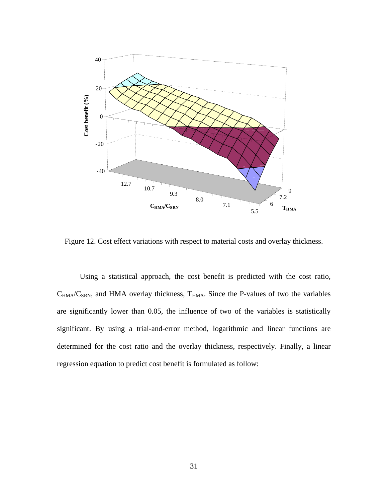

Figure 12. Cost effect variations with respect to material costs and overlay thickness.

 Using a statistical approach, the cost benefit is predicted with the cost ratio,  $C_{HMA}/C_{SRN}$ , and HMA overlay thickness,  $T_{HMA}$ . Since the P-values of two the variables are significantly lower than 0.05, the influence of two of the variables is statistically significant. By using a trial-and-error method, logarithmic and linear functions are determined for the cost ratio and the overlay thickness, respectively. Finally, a linear regression equation to predict cost benefit is formulated as follow: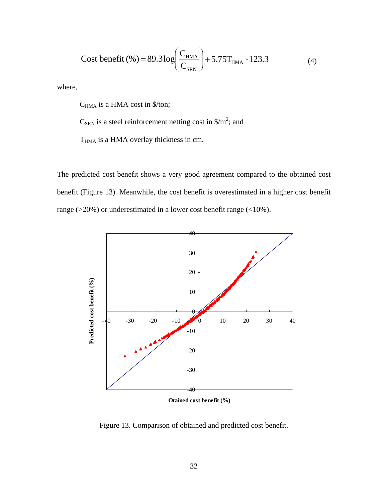Cost benefit (%) = 89.3 log 
$$
\left(\frac{C_{HMA}}{C_{SRN}}\right)
$$
 + 5.75T<sub>HMA</sub> - 123.3 (4)

where,

C<sub>HMA</sub> is a HMA cost in \$/ton;

 $C_{\text{SRN}}$  is a steel reinforcement netting cost in \$/m<sup>2</sup>; and

T<sub>HMA</sub> is a HMA overlay thickness in cm.

The predicted cost benefit shows a very good agreement compared to the obtained cost benefit (Figure 13). Meanwhile, the cost benefit is overestimated in a higher cost benefit range ( $>20\%$ ) or underestimated in a lower cost benefit range ( $<10\%$ ).



**Otained cost benefit (%)**

Figure 13. Comparison of obtained and predicted cost benefit.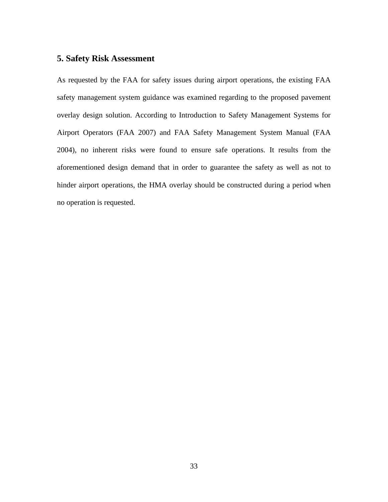## **5. Safety Risk Assessment**

As requested by the FAA for safety issues during airport operations, the existing FAA safety management system guidance was examined regarding to the proposed pavement overlay design solution. According to Introduction to Safety Management Systems for Airport Operators (FAA 2007) and FAA Safety Management System Manual (FAA 2004), no inherent risks were found to ensure safe operations. It results from the aforementioned design demand that in order to guarantee the safety as well as not to hinder airport operations, the HMA overlay should be constructed during a period when no operation is requested.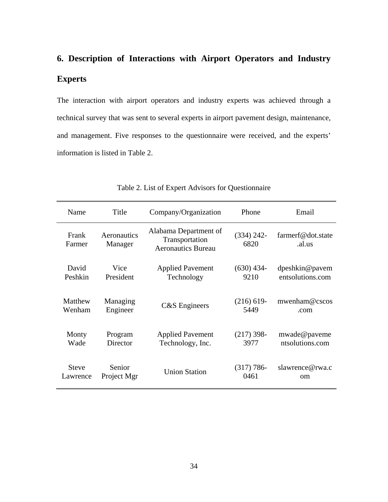# **6. Description of Interactions with Airport Operators and Industry Experts**

The interaction with airport operators and industry experts was achieved through a technical survey that was sent to several experts in airport pavement design, maintenance, and management. Five responses to the questionnaire were received, and the experts' information is listed in Table 2.

| Name            | Title                  | Company/Organization                                                 | Phone                | Email                       |
|-----------------|------------------------|----------------------------------------------------------------------|----------------------|-----------------------------|
| Frank<br>Farmer | Aeronautics<br>Manager | Alabama Department of<br>Transportation<br><b>Aeronautics Bureau</b> | $(334)$ 242-<br>6820 | farmerf@dot.state<br>.al.us |
| David           | Vice                   | <b>Applied Pavement</b>                                              | $(630)$ 434-         | dpeshkin@pavem              |
| Peshkin         | President              | Technology                                                           | 9210                 | entsolutions.com            |
| Matthew         | Managing               | C&S Engineers                                                        | $(216) 619-$         | mwenham@cscos               |
| Wenham          | Engineer               |                                                                      | 5449                 | .com                        |
| Monty           | Program                | <b>Applied Pavement</b>                                              | $(217)$ 398-         | mwade@paveme                |
| Wade            | Director               | Technology, Inc.                                                     | 3977                 | ntsolutions.com             |
| <b>Steve</b>    | Senior                 | <b>Union Station</b>                                                 | $(317) 786-$         | slawrence@rwa.c             |
| Lawrence        | Project Mgr            |                                                                      | 0461                 | om                          |

Table 2. List of Expert Advisors for Questionnaire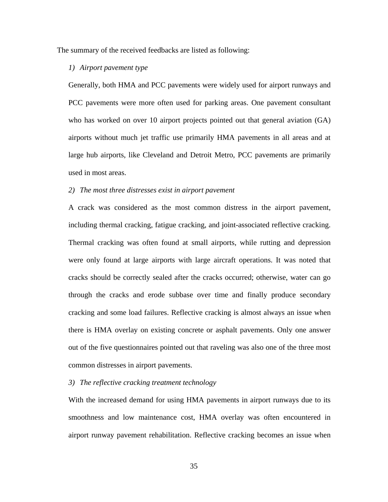The summary of the received feedbacks are listed as following:

#### *1) Airport pavement type*

Generally, both HMA and PCC pavements were widely used for airport runways and PCC pavements were more often used for parking areas. One pavement consultant who has worked on over 10 airport projects pointed out that general aviation (GA) airports without much jet traffic use primarily HMA pavements in all areas and at large hub airports, like Cleveland and Detroit Metro, PCC pavements are primarily used in most areas.

#### *2) The most three distresses exist in airport pavement*

A crack was considered as the most common distress in the airport pavement, including thermal cracking, fatigue cracking, and joint-associated reflective cracking. Thermal cracking was often found at small airports, while rutting and depression were only found at large airports with large aircraft operations. It was noted that cracks should be correctly sealed after the cracks occurred; otherwise, water can go through the cracks and erode subbase over time and finally produce secondary cracking and some load failures. Reflective cracking is almost always an issue when there is HMA overlay on existing concrete or asphalt pavements. Only one answer out of the five questionnaires pointed out that raveling was also one of the three most common distresses in airport pavements.

#### *3) The reflective cracking treatment technology*

With the increased demand for using HMA pavements in airport runways due to its smoothness and low maintenance cost, HMA overlay was often encountered in airport runway pavement rehabilitation. Reflective cracking becomes an issue when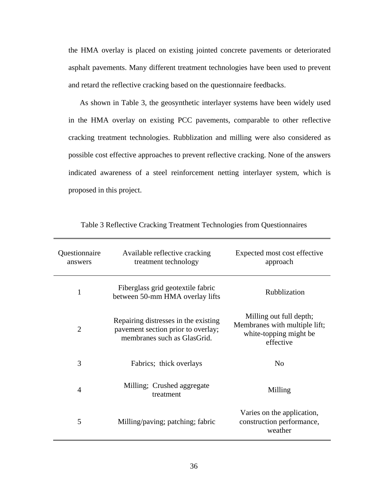the HMA overlay is placed on existing jointed concrete pavements or deteriorated asphalt pavements. Many different treatment technologies have been used to prevent and retard the reflective cracking based on the questionnaire feedbacks.

As shown in Table 3, the geosynthetic interlayer systems have been widely used in the HMA overlay on existing PCC pavements, comparable to other reflective cracking treatment technologies. Rubblization and milling were also considered as possible cost effective approaches to prevent reflective cracking. None of the answers indicated awareness of a steel reinforcement netting interlayer system, which is proposed in this project.

| Questionnaire<br>answers | Available reflective cracking<br>treatment technology                                                     | Expected most cost effective<br>approach                                                        |
|--------------------------|-----------------------------------------------------------------------------------------------------------|-------------------------------------------------------------------------------------------------|
| 1                        | Fiberglass grid geotextile fabric<br>between 50-mm HMA overlay lifts                                      | <b>Rubblization</b>                                                                             |
| $\overline{2}$           | Repairing distresses in the existing<br>pavement section prior to overlay;<br>membranes such as GlasGrid. | Milling out full depth;<br>Membranes with multiple lift;<br>white-topping might be<br>effective |
| 3                        | Fabrics; thick overlays                                                                                   | No                                                                                              |
| $\overline{4}$           | Milling; Crushed aggregate<br>treatment                                                                   | Milling                                                                                         |
| 5                        | Milling/paving; patching; fabric                                                                          | Varies on the application,<br>construction performance,<br>weather                              |

Table 3 Reflective Cracking Treatment Technologies from Questionnaires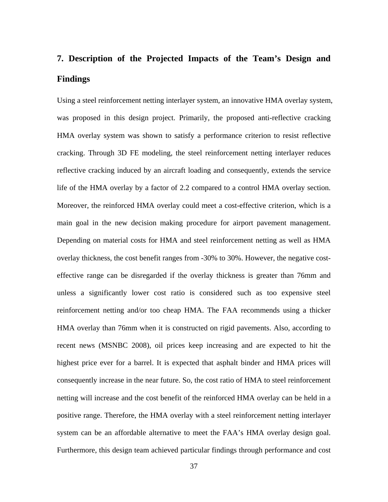# **7. Description of the Projected Impacts of the Team's Design and Findings**

Using a steel reinforcement netting interlayer system, an innovative HMA overlay system, was proposed in this design project. Primarily, the proposed anti-reflective cracking HMA overlay system was shown to satisfy a performance criterion to resist reflective cracking. Through 3D FE modeling, the steel reinforcement netting interlayer reduces reflective cracking induced by an aircraft loading and consequently, extends the service life of the HMA overlay by a factor of 2.2 compared to a control HMA overlay section. Moreover, the reinforced HMA overlay could meet a cost-effective criterion, which is a main goal in the new decision making procedure for airport pavement management. Depending on material costs for HMA and steel reinforcement netting as well as HMA overlay thickness, the cost benefit ranges from -30% to 30%. However, the negative costeffective range can be disregarded if the overlay thickness is greater than 76mm and unless a significantly lower cost ratio is considered such as too expensive steel reinforcement netting and/or too cheap HMA. The FAA recommends using a thicker HMA overlay than 76mm when it is constructed on rigid pavements. Also, according to recent news (MSNBC 2008), oil prices keep increasing and are expected to hit the highest price ever for a barrel. It is expected that asphalt binder and HMA prices will consequently increase in the near future. So, the cost ratio of HMA to steel reinforcement netting will increase and the cost benefit of the reinforced HMA overlay can be held in a positive range. Therefore, the HMA overlay with a steel reinforcement netting interlayer system can be an affordable alternative to meet the FAA's HMA overlay design goal. Furthermore, this design team achieved particular findings through performance and cost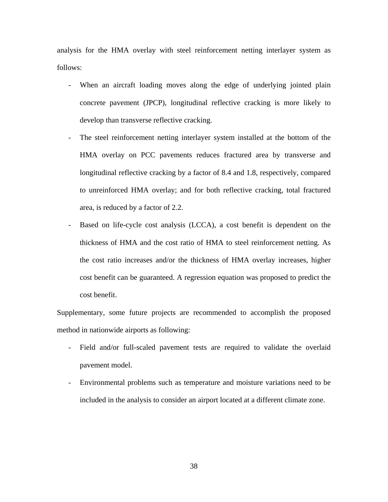analysis for the HMA overlay with steel reinforcement netting interlayer system as follows:

- When an aircraft loading moves along the edge of underlying jointed plain concrete pavement (JPCP), longitudinal reflective cracking is more likely to develop than transverse reflective cracking.
- The steel reinforcement netting interlayer system installed at the bottom of the HMA overlay on PCC pavements reduces fractured area by transverse and longitudinal reflective cracking by a factor of 8.4 and 1.8, respectively, compared to unreinforced HMA overlay; and for both reflective cracking, total fractured area, is reduced by a factor of 2.2.
- Based on life-cycle cost analysis (LCCA), a cost benefit is dependent on the thickness of HMA and the cost ratio of HMA to steel reinforcement netting. As the cost ratio increases and/or the thickness of HMA overlay increases, higher cost benefit can be guaranteed. A regression equation was proposed to predict the cost benefit.

Supplementary, some future projects are recommended to accomplish the proposed method in nationwide airports as following:

- Field and/or full-scaled pavement tests are required to validate the overlaid pavement model.
- Environmental problems such as temperature and moisture variations need to be included in the analysis to consider an airport located at a different climate zone.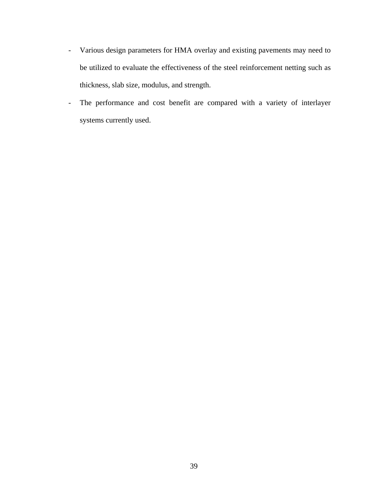- Various design parameters for HMA overlay and existing pavements may need to be utilized to evaluate the effectiveness of the steel reinforcement netting such as thickness, slab size, modulus, and strength.
- The performance and cost benefit are compared with a variety of interlayer systems currently used.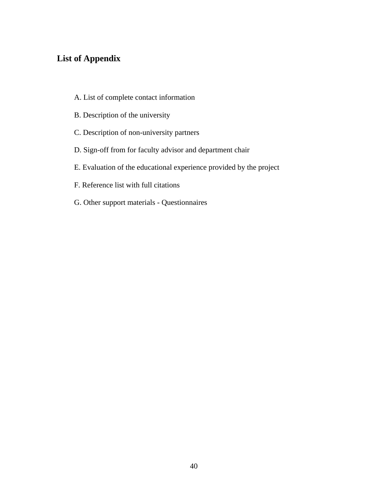## **List of Appendix**

- A. List of complete contact information
- B. Description of the university
- C. Description of non-university partners
- D. Sign-off from for faculty advisor and department chair
- E. Evaluation of the educational experience provided by the project
- F. Reference list with full citations
- G. Other support materials Questionnaires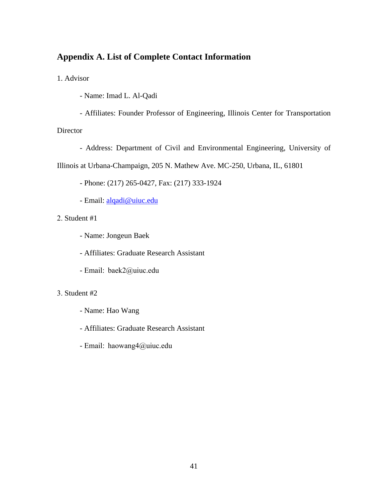## **Appendix A. List of Complete Contact Information**

1. Advisor

- Name: Imad L. Al-Qadi
- Affiliates: Founder Professor of Engineering, Illinois Center for Transportation Director
	- Address: Department of Civil and Environmental Engineering, University of

Illinois at Urbana-Champaign, 205 N. Mathew Ave. MC-250, Urbana, IL, 61801

- Phone: (217) 265-0427, Fax: (217) 333-1924

- Email: alqadi@uiuc.edu

## 2. Student #1

- Name: Jongeun Baek
- Affiliates: Graduate Research Assistant
- Email: baek2@uiuc.edu

## 3. Student #2

- Name: Hao Wang
- Affiliates: Graduate Research Assistant
- Email: haowang4@uiuc.edu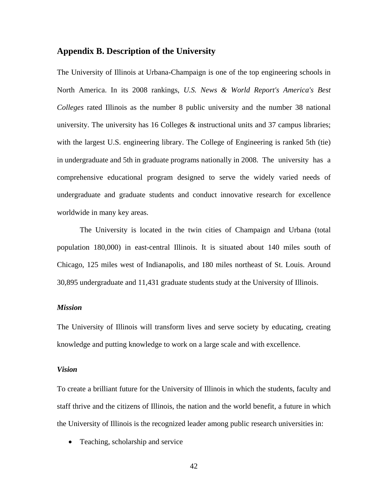## **Appendix B. Description of the University**

The University of Illinois at Urbana-Champaign is one of the top engineering schools in North America. In its 2008 rankings, *U.S. News & World Report's America's Best Colleges* rated Illinois as the number 8 public university and the number 38 national university. The university has 16 Colleges & instructional units and 37 campus libraries; with the largest U.S. engineering library. The College of Engineering is ranked 5th (tie) in undergraduate and 5th in graduate programs nationally in 2008. The university has a comprehensive educational program designed to serve the widely varied needs of undergraduate and graduate students and conduct innovative research for excellence worldwide in many key areas.

The University is located in the twin cities of Champaign and Urbana (total population 180,000) in east-central Illinois. It is situated about 140 miles south of Chicago, 125 miles west of Indianapolis, and 180 miles northeast of St. Louis. Around 30,895 undergraduate and 11,431 graduate students study at the University of Illinois.

### *Mission*

The University of Illinois will transform lives and serve society by educating, creating knowledge and putting knowledge to work on a large scale and with excellence.

#### *Vision*

To create a brilliant future for the University of Illinois in which the students, faculty and staff thrive and the citizens of Illinois, the nation and the world benefit, a future in which the University of Illinois is the recognized leader among public research universities in:

• Teaching, scholarship and service

42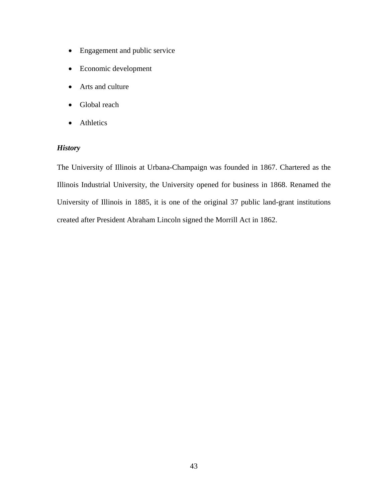- Engagement and public service
- Economic development
- Arts and culture
- Global reach
- Athletics

## *History*

The University of Illinois at Urbana-Champaign was founded in 1867. Chartered as the Illinois Industrial University, the University opened for business in 1868. Renamed the University of Illinois in 1885, it is one of the original 37 public land-grant institutions created after President Abraham Lincoln signed the Morrill Act in 1862.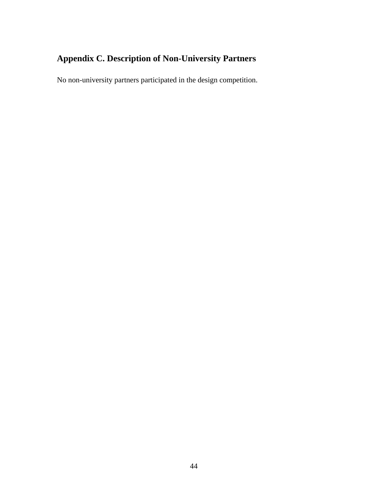## **Appendix C. Description of Non-University Partners**

No non-university partners participated in the design competition.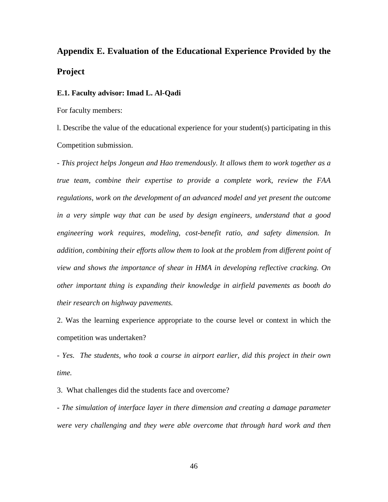## **Appendix E. Evaluation of the Educational Experience Provided by the Project**

#### **E.1. Faculty advisor: Imad L. Al-Qadi**

For faculty members:

l. Describe the value of the educational experience for your student(s) participating in this Competition submission.

*- This project helps Jongeun and Hao tremendously. It allows them to work together as a true team, combine their expertise to provide a complete work, review the FAA regulations, work on the development of an advanced model and yet present the outcome in a very simple way that can be used by design engineers, understand that a good engineering work requires, modeling, cost-benefit ratio, and safety dimension. In addition, combining their efforts allow them to look at the problem from different point of view and shows the importance of shear in HMA in developing reflective cracking. On other important thing is expanding their knowledge in airfield pavements as booth do their research on highway pavements.* 

2. Was the learning experience appropriate to the course level or context in which the competition was undertaken?

*- Yes. The students, who took a course in airport earlier, did this project in their own time.* 

3. What challenges did the students face and overcome?

*- The simulation of interface layer in there dimension and creating a damage parameter were very challenging and they were able overcome that through hard work and then*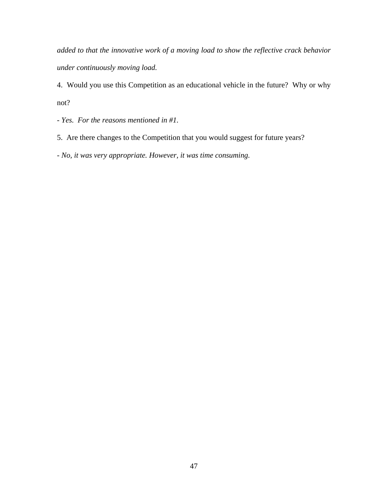*added to that the innovative work of a moving load to show the reflective crack behavior under continuously moving load.* 

4. Would you use this Competition as an educational vehicle in the future? Why or why not?

*- Yes. For the reasons mentioned in #1.* 

5. Are there changes to the Competition that you would suggest for future years?

*- No, it was very appropriate. However, it was time consuming.*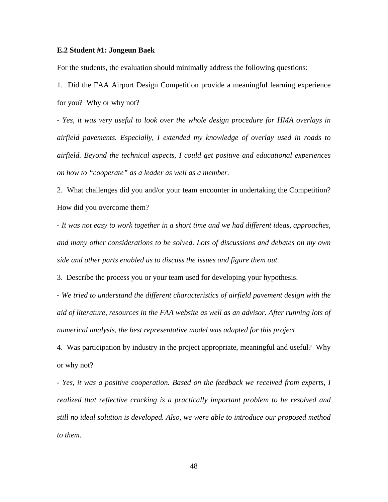#### **E.2 Student #1: Jongeun Baek**

For the students, the evaluation should minimally address the following questions:

1. Did the FAA Airport Design Competition provide a meaningful learning experience for you? Why or why not?

*- Yes, it was very useful to look over the whole design procedure for HMA overlays in airfield pavements. Especially, I extended my knowledge of overlay used in roads to airfield. Beyond the technical aspects, I could get positive and educational experiences on how to "cooperate" as a leader as well as a member.* 

2. What challenges did you and/or your team encounter in undertaking the Competition? How did you overcome them?

*- It was not easy to work together in a short time and we had different ideas, approaches, and many other considerations to be solved. Lots of discussions and debates on my own side and other parts enabled us to discuss the issues and figure them out.* 

3. Describe the process you or your team used for developing your hypothesis.

*- We tried to understand the different characteristics of airfield pavement design with the aid of literature, resources in the FAA website as well as an advisor. After running lots of numerical analysis, the best representative model was adapted for this project* 

4. Was participation by industry in the project appropriate, meaningful and useful? Why or why not?

*- Yes, it was a positive cooperation. Based on the feedback we received from experts, I realized that reflective cracking is a practically important problem to be resolved and still no ideal solution is developed. Also, we were able to introduce our proposed method to them.*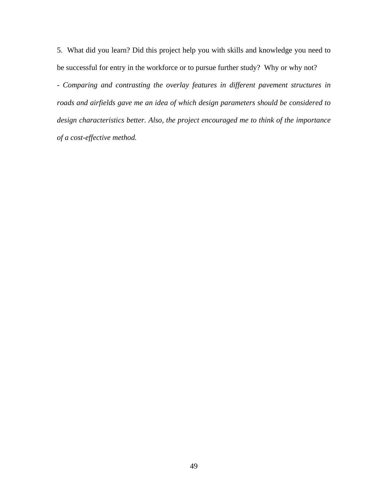5. What did you learn? Did this project help you with skills and knowledge you need to be successful for entry in the workforce or to pursue further study? Why or why not?

*- Comparing and contrasting the overlay features in different pavement structures in roads and airfields gave me an idea of which design parameters should be considered to design characteristics better. Also, the project encouraged me to think of the importance of a cost-effective method.*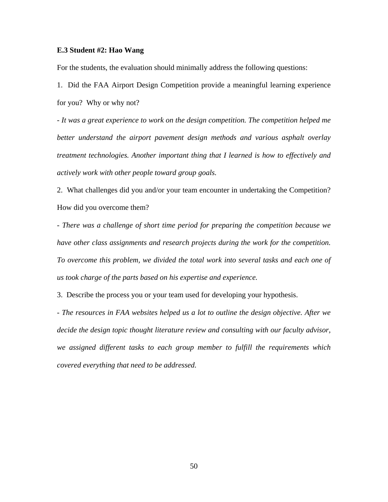### **E.3 Student #2: Hao Wang**

For the students, the evaluation should minimally address the following questions:

1. Did the FAA Airport Design Competition provide a meaningful learning experience for you? Why or why not?

*- It was a great experience to work on the design competition. The competition helped me better understand the airport pavement design methods and various asphalt overlay treatment technologies. Another important thing that I learned is how to effectively and actively work with other people toward group goals.* 

2. What challenges did you and/or your team encounter in undertaking the Competition? How did you overcome them?

*- There was a challenge of short time period for preparing the competition because we have other class assignments and research projects during the work for the competition. To overcome this problem, we divided the total work into several tasks and each one of us took charge of the parts based on his expertise and experience.* 

3. Describe the process you or your team used for developing your hypothesis.

*- The resources in FAA websites helped us a lot to outline the design objective. After we decide the design topic thought literature review and consulting with our faculty advisor, we assigned different tasks to each group member to fulfill the requirements which covered everything that need to be addressed.*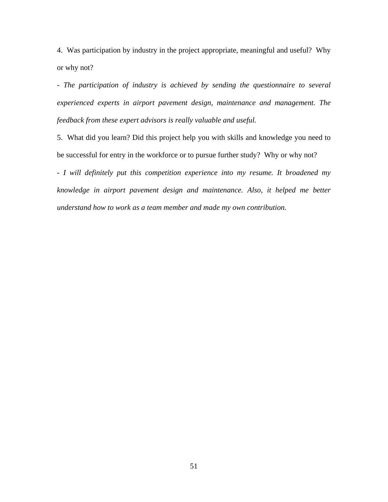4. Was participation by industry in the project appropriate, meaningful and useful? Why or why not?

*- The participation of industry is achieved by sending the questionnaire to several experienced experts in airport pavement design, maintenance and management. The feedback from these expert advisors is really valuable and useful.* 

5. What did you learn? Did this project help you with skills and knowledge you need to be successful for entry in the workforce or to pursue further study? Why or why not?

*- I will definitely put this competition experience into my resume. It broadened my knowledge in airport pavement design and maintenance. Also, it helped me better understand how to work as a team member and made my own contribution.*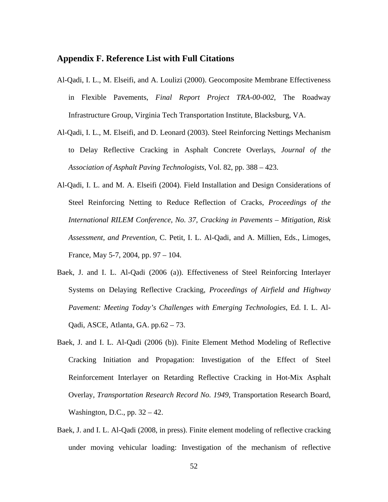## **Appendix F. Reference List with Full Citations**

- Al-Qadi, I. L., M. Elseifi, and A. Loulizi (2000). Geocomposite Membrane Effectiveness in Flexible Pavements, *Final Report Project TRA-00-002*, The Roadway Infrastructure Group, Virginia Tech Transportation Institute, Blacksburg, VA.
- Al-Qadi, I. L., M. Elseifi, and D. Leonard (2003). Steel Reinforcing Nettings Mechanism to Delay Reflective Cracking in Asphalt Concrete Overlays, *Journal of the Association of Asphalt Paving Technologists*, Vol. 82, pp. 388 – 423.
- Al-Qadi, I. L. and M. A. Elseifi (2004). Field Installation and Design Considerations of Steel Reinforcing Netting to Reduce Reflection of Cracks, *Proceedings of the International RILEM Conference, No. 37, Cracking in Pavements – Mitigation, Risk Assessment, and Prevention*, C. Petit, I. L. Al-Qadi, and A. Millien, Eds., Limoges, France, May 5-7, 2004, pp. 97 – 104.
- Baek, J. and I. L. Al-Qadi (2006 (a)). Effectiveness of Steel Reinforcing Interlayer Systems on Delaying Reflective Cracking, *Proceedings of Airfield and Highway Pavement: Meeting Today's Challenges with Emerging Technologies*, Ed. I. L. Al-Qadi, ASCE, Atlanta, GA. pp.62 – 73.
- Baek, J. and I. L. Al-Qadi (2006 (b)). Finite Element Method Modeling of Reflective Cracking Initiation and Propagation: Investigation of the Effect of Steel Reinforcement Interlayer on Retarding Reflective Cracking in Hot-Mix Asphalt Overlay, *Transportation Research Record No. 1949*, Transportation Research Board, Washington, D.C., pp. 32 – 42.
- Baek, J. and I. L. Al-Qadi (2008, in press). Finite element modeling of reflective cracking under moving vehicular loading: Investigation of the mechanism of reflective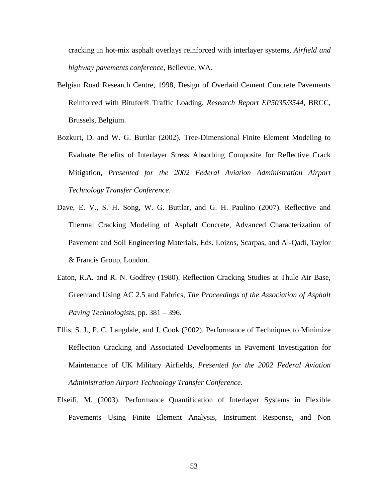cracking in hot-mix asphalt overlays reinforced with interlayer systems, *Airfield and highway pavements conference*, Bellevue, WA.

- Belgian Road Research Centre, 1998, Design of Overlaid Cement Concrete Pavements Reinforced with Bitufor® Traffic Loading, *Research Report EP5035/3544*, BRCC, Brussels, Belgium.
- Bozkurt, D. and W. G. Buttlar (2002). Tree-Dimensional Finite Element Modeling to Evaluate Benefits of Interlayer Stress Absorbing Composite for Reflective Crack Mitigation, *Presented for the 2002 Federal Aviation Administration Airport Technology Transfer Conference*.
- Dave, E. V., S. H. Song, W. G. Buttlar, and G. H. Paulino (2007). Reflective and Thermal Cracking Modeling of Asphalt Concrete, Advanced Characterization of Pavement and Soil Engineering Materials, Eds. Loizos, Scarpas, and Al-Qadi, Taylor & Francis Group, London.
- Eaton, R.A. and R. N. Godfrey (1980). Reflection Cracking Studies at Thule Air Base, Greenland Using AC 2.5 and Fabrics, *The Proceedings of the Association of Asphalt Paving Technologists*, pp. 381 – 396.
- Ellis, S. J., P. C. Langdale, and J. Cook (2002). Performance of Techniques to Minimize Reflection Cracking and Associated Developments in Pavement Investigation for Maintenance of UK Military Airfields, *Presented for the 2002 Federal Aviation Administration Airport Technology Transfer Conference*.
- Elseifi, M. (2003). Performance Quantification of Interlayer Systems in Flexible Pavements Using Finite Element Analysis, Instrument Response, and Non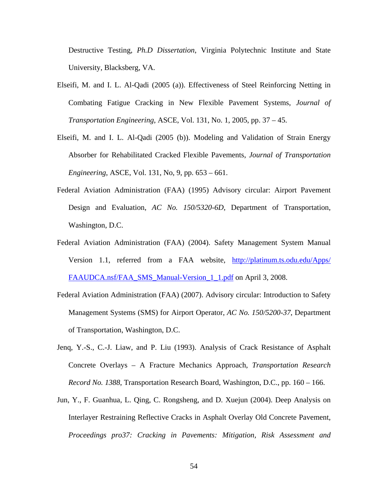Destructive Testing, *Ph.D Dissertation*, Virginia Polytechnic Institute and State University, Blacksberg, VA.

- Elseifi, M. and I. L. Al-Qadi (2005 (a)). Effectiveness of Steel Reinforcing Netting in Combating Fatigue Cracking in New Flexible Pavement Systems, *Journal of Transportation Engineering*, ASCE, Vol. 131, No. 1, 2005, pp. 37 – 45.
- Elseifi, M. and I. L. Al-Qadi (2005 (b)). Modeling and Validation of Strain Energy Absorber for Rehabilitated Cracked Flexible Pavements, *Journal of Transportation Engineering*, ASCE, Vol. 131, No, 9, pp. 653 – 661.
- Federal Aviation Administration (FAA) (1995) Advisory circular: Airport Pavement Design and Evaluation, *AC No. 150/5320-6D*, Department of Transportation, Washington, D.C.
- Federal Aviation Administration (FAA) (2004). Safety Management System Manual Version 1.1, referred from a FAA website, http://platinum.ts.odu.edu/Apps/ FAAUDCA.nsf/FAA\_SMS\_Manual-Version\_1\_1.pdf on April 3, 2008.
- Federal Aviation Administration (FAA) (2007). Advisory circular: Introduction to Safety Management Systems (SMS) for Airport Operator, *AC No. 150/5200-37*, Department of Transportation, Washington, D.C.
- Jenq, Y.-S., C.-J. Liaw, and P. Liu (1993). Analysis of Crack Resistance of Asphalt Concrete Overlays – A Fracture Mechanics Approach, *Transportation Research Record No. 1388*, Transportation Research Board, Washington, D.C., pp. 160 – 166.
- Jun, Y., F. Guanhua, L. Qing, C. Rongsheng, and D. Xuejun (2004). Deep Analysis on Interlayer Restraining Reflective Cracks in Asphalt Overlay Old Concrete Pavement, *Proceedings pro37: Cracking in Pavements: Mitigation, Risk Assessment and*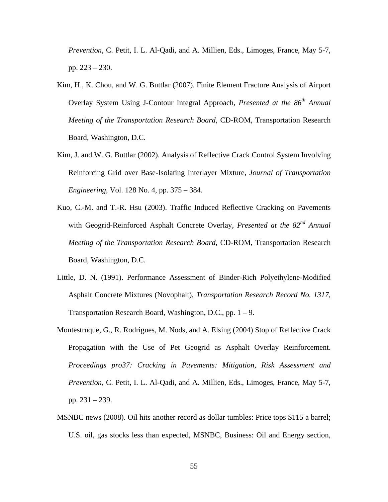*Prevention*, C. Petit, I. L. Al-Qadi, and A. Millien, Eds., Limoges, France, May 5-7, pp. 223 – 230.

- Kim, H., K. Chou, and W. G. Buttlar (2007). Finite Element Fracture Analysis of Airport Overlay System Using J-Contour Integral Approach, *Presented at the 86th Annual Meeting of the Transportation Research Board*, CD-ROM, Transportation Research Board, Washington, D.C.
- Kim, J. and W. G. Buttlar (2002). Analysis of Reflective Crack Control System Involving Reinforcing Grid over Base-Isolating Interlayer Mixture, *Journal of Transportation Engineering*, Vol. 128 No. 4, pp. 375 – 384.
- Kuo, C.-M. and T.-R. Hsu (2003). Traffic Induced Reflective Cracking on Pavements with Geogrid-Reinforced Asphalt Concrete Overlay, *Presented at the 82nd Annual Meeting of the Transportation Research Board*, CD-ROM, Transportation Research Board, Washington, D.C.
- Little, D. N. (1991). Performance Assessment of Binder-Rich Polyethylene-Modified Asphalt Concrete Mixtures (Novophalt), *Transportation Research Record No. 1317*, Transportation Research Board, Washington, D.C., pp. 1 – 9.
- Montestruque, G., R. Rodrigues, M. Nods, and A. Elsing (2004) Stop of Reflective Crack Propagation with the Use of Pet Geogrid as Asphalt Overlay Reinforcement. *Proceedings pro37: Cracking in Pavements: Mitigation, Risk Assessment and Prevention*, C. Petit, I. L. Al-Qadi, and A. Millien, Eds., Limoges, France, May 5-7, pp. 231 – 239.
- MSNBC news (2008). Oil hits another record as dollar tumbles: Price tops \$115 a barrel; U.S. oil, gas stocks less than expected, MSNBC, Business: Oil and Energy section,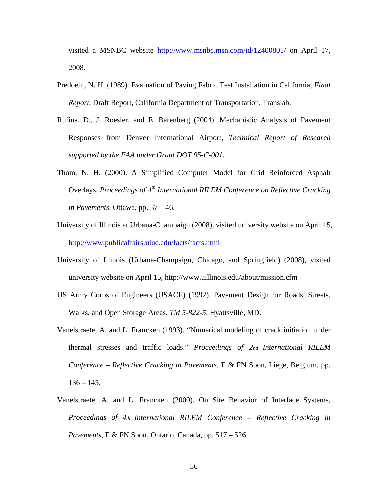visited a MSNBC website http://www.msnbc.msn.com/id/12400801/ on April 17, 2008.

- Predoehl, N. H. (1989). Evaluation of Paving Fabric Test Installation in California, *Final Report*, Draft Report, California Department of Transportation, Translab.
- Rufina, D., J. Roesler, and E. Barenberg (2004). Mechanistic Analysis of Pavement Responses from Denver International Airport, *Technical Report of Research supported by the FAA under Grant DOT 95-C-001*.
- Thom, N. H. (2000). A Simplified Computer Model for Grid Reinforced Asphalt Overlays, *Proceedings of 4<sup>th</sup> International RILEM Conference on Reflective Cracking in Pavements*, Ottawa, pp. 37 – 46.
- University of Illinois at Urbana-Champaign (2008), visited university website on April 15, http://www.publicaffairs.uiuc.edu/facts/facts.html
- University of Illinois (Urbana-Champaign, Chicago, and Springfield) (2008), visited university website on April 15, http://www.uillinois.edu/about/mission.cfm
- US Army Corps of Engineers (USACE) (1992). Pavement Design for Roads, Streets, Walks, and Open Storage Areas, *TM 5-822-5,* Hyattsville, MD.
- Vanelstraete, A. and L. Francken (1993). "Numerical modeling of crack initiation under thermal stresses and traffic loads." *Proceedings of 2nd International RILEM Conference – Reflective Cracking in Pavements*, E & FN Spon, Liege, Belgium, pp.  $136 - 145$ .
- Vanelstraete, A. and L. Francken (2000). On Site Behavior of Interface Systems, *Proceedings of 4th International RILEM Conference – Reflective Cracking in Pavements*, E & FN Spon, Ontario, Canada, pp. 517 – 526.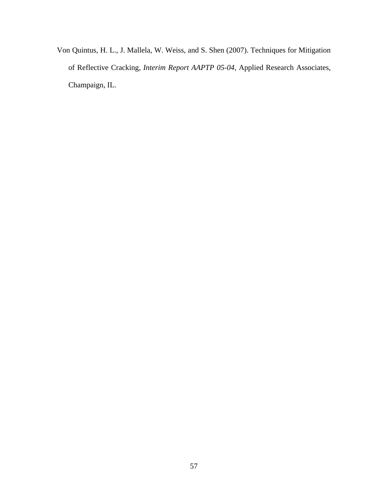Von Quintus, H. L., J. Mallela, W. Weiss, and S. Shen (2007). Techniques for Mitigation of Reflective Cracking, *Interim Report AAPTP 05-04*, Applied Research Associates, Champaign, IL.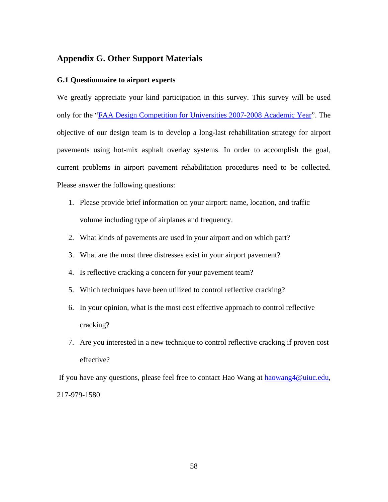## **Appendix G. Other Support Materials**

## **G.1 Questionnaire to airport experts**

We greatly appreciate your kind participation in this survey. This survey will be used only for the "FAA Design Competition for Universities 2007-2008 Academic Year". The objective of our design team is to develop a long-last rehabilitation strategy for airport pavements using hot-mix asphalt overlay systems. In order to accomplish the goal, current problems in airport pavement rehabilitation procedures need to be collected. Please answer the following questions:

- 1. Please provide brief information on your airport: name, location, and traffic volume including type of airplanes and frequency.
- 2. What kinds of pavements are used in your airport and on which part?
- 3. What are the most three distresses exist in your airport pavement?
- 4. Is reflective cracking a concern for your pavement team?
- 5. Which techniques have been utilized to control reflective cracking?
- 6. In your opinion, what is the most cost effective approach to control reflective cracking?
- 7. Are you interested in a new technique to control reflective cracking if proven cost effective?

 If you have any questions, please feel free to contact Hao Wang at haowang4@uiuc.edu, 217-979-1580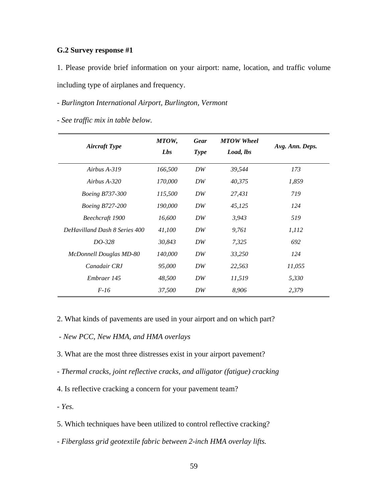### **G.2 Survey response #1**

1. Please provide brief information on your airport: name, location, and traffic volume including type of airplanes and frequency.

### *- Burlington International Airport, Burlington, Vermont*

*- See traffic mix in table below.* 

| <b>Aircraft Type</b>          | MTOW,<br>Lbs | <b>Gear</b><br><b>Type</b> | <b>MTOW</b> Wheel<br>Load, lbs | Avg. Ann. Deps. |
|-------------------------------|--------------|----------------------------|--------------------------------|-----------------|
| Airbus A-319                  | 166,500      | DW                         | 39,544                         | 173             |
| Airbus $A-320$                | 170,000      | DW                         | 40,375                         | 1,859           |
| <i>Boeing B737-300</i>        | 115,500      | DW                         | 27,431                         | 719             |
| <i>Boeing B727-200</i>        | 190,000      | DW                         | 45,125                         | 124             |
| Beechcraft 1900               | 16,600       | DW                         | 3,943                          | 519             |
| DeHavilland Dash 8 Series 400 | 41,100       | DW                         | 9,761                          | 1,112           |
| DO-328                        | 30,843       | DW                         | 7,325                          | 692             |
| McDonnell Douglas MD-80       | 140,000      | DW                         | 33,250                         | 124             |
| Canadair CRJ                  | 95,000       | DW                         | 22,563                         | 11,055          |
| Embraer 145                   | 48,500       | DW                         | 11,519                         | 5,330           |
| $F-16$                        | 37,500       | DW                         | 8,906                          | 2,379           |

2. What kinds of pavements are used in your airport and on which part?

 *- New PCC, New HMA, and HMA overlays* 

- 3. What are the most three distresses exist in your airport pavement?
- *Thermal cracks, joint reflective cracks, and alligator (fatigue) cracking*
- 4. Is reflective cracking a concern for your pavement team?

*- Yes.* 

5. Which techniques have been utilized to control reflective cracking?

*- Fiberglass grid geotextile fabric between 2-inch HMA overlay lifts.*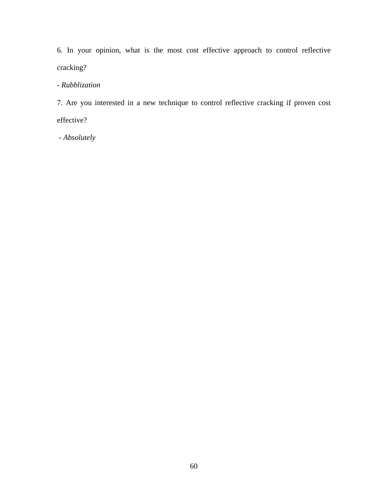6. In your opinion, what is the most cost effective approach to control reflective cracking?

## *- Rubblization*

7. Are you interested in a new technique to control reflective cracking if proven cost effective?

 *- Absolutely*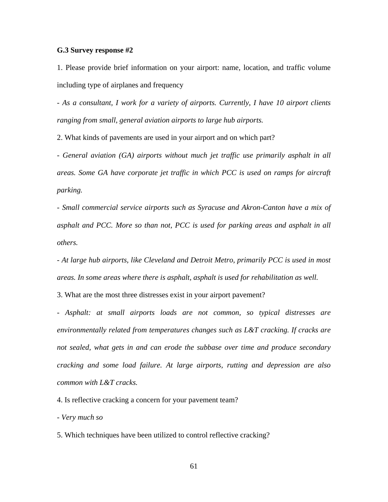#### **G.3 Survey response #2**

1. Please provide brief information on your airport: name, location, and traffic volume including type of airplanes and frequency

*- As a consultant, I work for a variety of airports. Currently, I have 10 airport clients ranging from small, general aviation airports to large hub airports.* 

2. What kinds of pavements are used in your airport and on which part?

*- General aviation (GA) airports without much jet traffic use primarily asphalt in all areas. Some GA have corporate jet traffic in which PCC is used on ramps for aircraft parking.* 

*- Small commercial service airports such as Syracuse and Akron-Canton have a mix of asphalt and PCC. More so than not, PCC is used for parking areas and asphalt in all others.* 

*- At large hub airports, like Cleveland and Detroit Metro, primarily PCC is used in most areas. In some areas where there is asphalt, asphalt is used for rehabilitation as well.* 

3. What are the most three distresses exist in your airport pavement?

*- Asphalt: at small airports loads are not common, so typical distresses are environmentally related from temperatures changes such as L&T cracking. If cracks are not sealed, what gets in and can erode the subbase over time and produce secondary cracking and some load failure. At large airports, rutting and depression are also common with L&T cracks.* 

4. Is reflective cracking a concern for your pavement team?

*- Very much so* 

5. Which techniques have been utilized to control reflective cracking?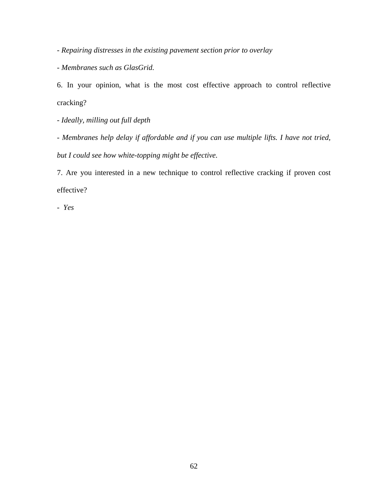*- Repairing distresses in the existing pavement section prior to overlay* 

*- Membranes such as GlasGrid.* 

6. In your opinion, what is the most cost effective approach to control reflective cracking?

*- Ideally, milling out full depth* 

*- Membranes help delay if affordable and if you can use multiple lifts. I have not tried, but I could see how white-topping might be effective.* 

7. Are you interested in a new technique to control reflective cracking if proven cost effective?

*- Yes*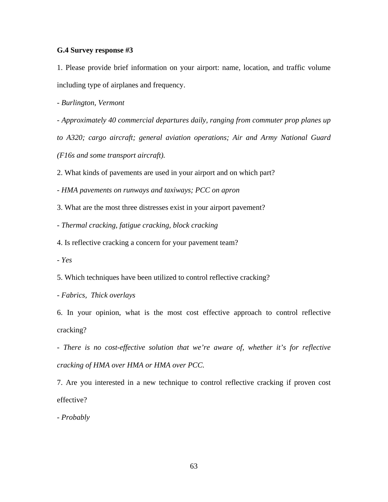#### **G.4 Survey response #3**

1. Please provide brief information on your airport: name, location, and traffic volume including type of airplanes and frequency.

*- Burlington, Vermont* 

*- Approximately 40 commercial departures daily, ranging from commuter prop planes up* 

*to A320; cargo aircraft; general aviation operations; Air and Army National Guard (F16s and some transport aircraft).* 

2. What kinds of pavements are used in your airport and on which part?

*- HMA pavements on runways and taxiways; PCC on apron* 

3. What are the most three distresses exist in your airport pavement?

*- Thermal cracking, fatigue cracking, block cracking* 

4. Is reflective cracking a concern for your pavement team?

*- Yes* 

5. Which techniques have been utilized to control reflective cracking?

*- Fabrics, Thick overlays* 

6. In your opinion, what is the most cost effective approach to control reflective cracking?

*- There is no cost-effective solution that we're aware of, whether it's for reflective cracking of HMA over HMA or HMA over PCC.* 

7. Are you interested in a new technique to control reflective cracking if proven cost effective?

*- Probably*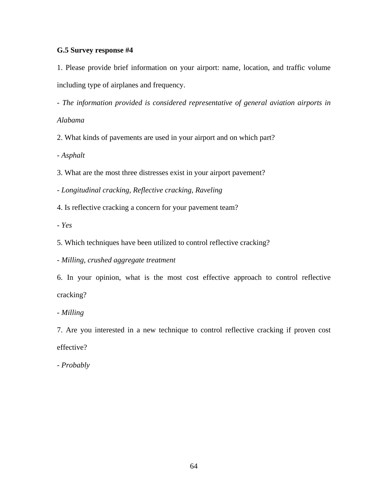### **G.5 Survey response #4**

1. Please provide brief information on your airport: name, location, and traffic volume including type of airplanes and frequency.

*- The information provided is considered representative of general aviation airports in* 

### *Alabama*

2. What kinds of pavements are used in your airport and on which part?

*- Asphalt* 

3. What are the most three distresses exist in your airport pavement?

*- Longitudinal cracking, Reflective cracking, Raveling* 

4. Is reflective cracking a concern for your pavement team?

*- Yes* 

5. Which techniques have been utilized to control reflective cracking?

*- Milling, crushed aggregate treatment* 

6. In your opinion, what is the most cost effective approach to control reflective cracking?

*- Milling* 

7. Are you interested in a new technique to control reflective cracking if proven cost effective?

*- Probably*